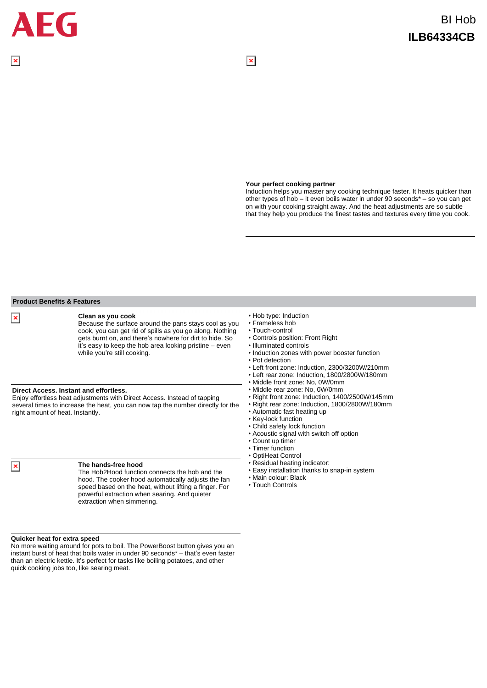#### **Your perfect cooking partner**

 $\overline{\mathbf{x}}$ 

Induction helps you master any cooking technique faster. It heats quicker than other types of hob – it even boils water in under 90 seconds\* – so you can get on with your cooking straight away. And the heat adjustments are so subtle that they help you produce the finest tastes and textures every time you cook.

### **Direct Access. Instant and effortless.** Enjoy effortless heat adjustments with Direct Access. Instead of tapping several times to increase the heat, you can now tap the number directly for the right amount of heat. Instantly. Because the surface around the pans stays cool as you cook, you can get rid of spills as you go along. Nothing gets burnt on, and there's nowhere for dirt to hide. So it's easy to keep the hob area looking pristine – even while you're still cooking.

#### **The hands-free hood**

**Clean as you cook**

The Hob2Hood function connects the hob and the hood. The cooker hood automatically adjusts the fan speed based on the heat, without lifting a finger. For powerful extraction when searing. And quieter extraction when simmering.

#### **Quicker heat for extra speed**

**Product Benefits & Features**

No more waiting around for pots to boil. The PowerBoost button gives you an instant burst of heat that boils water in under 90 seconds\* – that's even faster than an electric kettle. It's perfect for tasks like boiling potatoes, and other quick cooking jobs too, like searing meat.

- Hob type: Induction
- Frameless hob
- Touch-control
- Controls position: Front Right
- Illuminated controls
- Induction zones with power booster function
- Pot detection
- Left front zone: Induction, 2300/3200W/210mm
- Left rear zone: Induction, 1800/2800W/180mm
- Middle front zone: No, 0W/0mm
- Middle rear zone: No, 0W/0mm
- Right front zone: Induction, 1400/2500W/145mm
- Right rear zone: Induction, 1800/2800W/180mm
- Automatic fast heating up
- Key-lock function
- Child safety lock function
- Acoustic signal with switch off option
- Count up timer
- Timer function
- OptiHeat Control
- Residual heating indicator:
- Easy installation thanks to snap-in system
- Main colour: Black
- Touch Controls